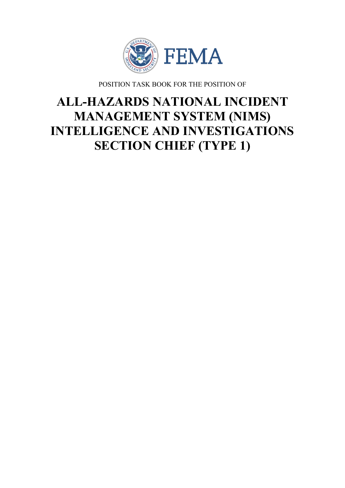

POSITION TASK BOOK FOR THE POSITION OF

# **ALL-HAZARDS NATIONAL INCIDENT MANAGEMENT SYSTEM (NIMS) INTELLIGENCE AND INVESTIGATIONS SECTION CHIEF (TYPE 1)**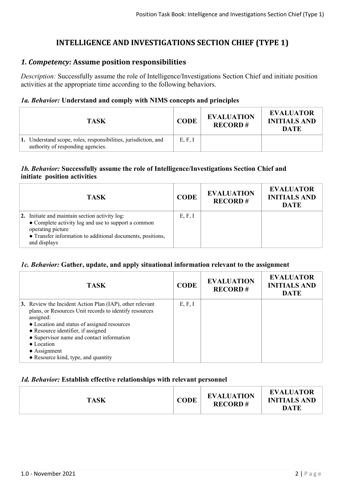# **INTELLIGENCE AND INVESTIGATIONS SECTION CHIEF (TYPE 1)**

# *1. Competency:* **Assume position responsibilities**

*Description:* Successfully assume the role of Intelligence/Investigations Section Chief and initiate position activities at the appropriate time according to the following behaviors.

# *1a. Behavior:* **Understand and comply with NIMS concepts and principles**

| TASK                                                                                                 | <b>CODE</b> | <b>EVALUATION</b><br><b>RECORD#</b> | <b>EVALUATOR</b><br><b>INITIALS AND</b><br><b>DATE</b> |
|------------------------------------------------------------------------------------------------------|-------------|-------------------------------------|--------------------------------------------------------|
| 1. Understand scope, roles, responsibilities, jurisdiction, and<br>authority of responding agencies. | E, F, I     |                                     |                                                        |

# *1b. Behavior:* **Successfully assume the role of Intelligence/Investigations Section Chief and initiate position activities**

| <b>TASK</b>                                                                                                                                                                                              | <b>CODE</b> | <b>EVALUATION</b><br><b>RECORD#</b> | <b>EVALUATOR</b><br><b>INITIALS AND</b><br><b>DATE</b> |
|----------------------------------------------------------------------------------------------------------------------------------------------------------------------------------------------------------|-------------|-------------------------------------|--------------------------------------------------------|
| 2. Initiate and maintain section activity log:<br>• Complete activity log and use to support a common<br>operating picture<br>• Transfer information to additional documents, positions,<br>and displays | E, F, I     |                                     |                                                        |

# *1c. Behavior:* **Gather, update, and apply situational information relevant to the assignment**

| <b>TASK</b>                                                                                                                                                                                                                                                                                                                                    | <b>CODE</b> | <b>EVALUATION</b><br><b>RECORD#</b> | <b>EVALUATOR</b><br><b>INITIALS AND</b><br><b>DATE</b> |
|------------------------------------------------------------------------------------------------------------------------------------------------------------------------------------------------------------------------------------------------------------------------------------------------------------------------------------------------|-------------|-------------------------------------|--------------------------------------------------------|
| 3. Review the Incident Action Plan (IAP), other relevant<br>plans, or Resources Unit records to identify resources<br>assigned:<br>• Location and status of assigned resources<br>• Resource identifier, if assigned<br>• Supervisor name and contact information<br>• Location<br>$\bullet$ Assignment<br>• Resource kind, type, and quantity | E, F, I     |                                     |                                                        |

# *1d. Behavior:* **Establish effective relationships with relevant personnel**

| <b>TASK</b> | <b>CODE</b> | <b>EVALUATION</b><br><b>RECORD#</b> | <b>EVALUATOR</b><br><b>INITIALS AND</b><br>DATE |
|-------------|-------------|-------------------------------------|-------------------------------------------------|
|-------------|-------------|-------------------------------------|-------------------------------------------------|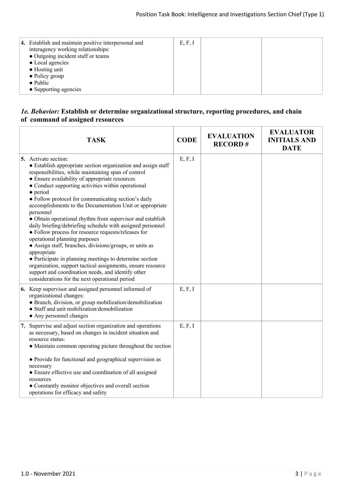| 4. Establish and maintain positive interpersonal and<br>interagency working relationships:<br>• Outgoing incident staff or teams<br>• Local agencies<br>$\bullet$ Hosting unit<br>$\bullet$ Policy group<br>$\bullet$ Public<br>• Supporting agencies | E, F, I |  |  |
|-------------------------------------------------------------------------------------------------------------------------------------------------------------------------------------------------------------------------------------------------------|---------|--|--|
|-------------------------------------------------------------------------------------------------------------------------------------------------------------------------------------------------------------------------------------------------------|---------|--|--|

#### *1e. Behavior:* **Establish or determine organizational structure, reporting procedures, and chain of command of assigned resources**

| <b>TASK</b>                                                                                                                                                                                                                                                                                                                                                                                                                                                                                                                                                                                                                                                                                                                                                                                                                                                                                                                             | <b>CODE</b> | <b>EVALUATION</b><br><b>RECORD#</b> | <b>EVALUATOR</b><br><b>INITIALS AND</b><br><b>DATE</b> |
|-----------------------------------------------------------------------------------------------------------------------------------------------------------------------------------------------------------------------------------------------------------------------------------------------------------------------------------------------------------------------------------------------------------------------------------------------------------------------------------------------------------------------------------------------------------------------------------------------------------------------------------------------------------------------------------------------------------------------------------------------------------------------------------------------------------------------------------------------------------------------------------------------------------------------------------------|-------------|-------------------------------------|--------------------------------------------------------|
| 5. Activate section:<br>• Establish appropriate section organization and assign staff<br>responsibilities, while maintaining span of control<br>• Ensure availability of appropriate resources<br>• Conduct supporting activities within operational<br>$\bullet$ period<br>• Follow protocol for communicating section's daily<br>accomplishments to the Documentation Unit or appropriate<br>personnel<br>• Obtain operational rhythm from supervisor and establish<br>daily briefing/debriefing schedule with assigned personnel<br>• Follow process for resource requests/releases for<br>operational planning purposes<br>• Assign staff, branches, divisions/groups, or units as<br>appropriate<br>• Participate in planning meetings to determine section<br>organization, support tactical assignments, ensure resource<br>support and coordination needs, and identify other<br>considerations for the next operational period | E, F, I     |                                     |                                                        |
| 6. Keep supervisor and assigned personnel informed of<br>organizational changes:<br>• Branch, division, or group mobilization/demobilization<br>· Staff and unit mobilization/demobilization<br>• Any personnel changes                                                                                                                                                                                                                                                                                                                                                                                                                                                                                                                                                                                                                                                                                                                 | E, F, I     |                                     |                                                        |
| 7. Supervise and adjust section organization and operations<br>as necessary, based on changes in incident situation and<br>resource status:<br>• Maintain common operating picture throughout the section<br>• Provide for functional and geographical supervision as<br>necessary<br>• Ensure effective use and coordination of all assigned<br>resources<br>• Constantly monitor objectives and overall section<br>operations for efficacy and safety                                                                                                                                                                                                                                                                                                                                                                                                                                                                                 | E, F, I     |                                     |                                                        |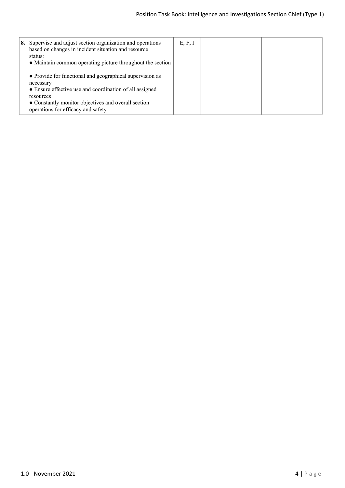| 8. Supervise and adjust section organization and operations<br>based on changes in incident situation and resource<br>status:<br>• Maintain common operating picture throughout the section                                                | E, F, I |  |
|--------------------------------------------------------------------------------------------------------------------------------------------------------------------------------------------------------------------------------------------|---------|--|
| • Provide for functional and geographical supervision as<br>necessary<br>• Ensure effective use and coordination of all assigned<br>resources<br>• Constantly monitor objectives and overall section<br>operations for efficacy and safety |         |  |
|                                                                                                                                                                                                                                            |         |  |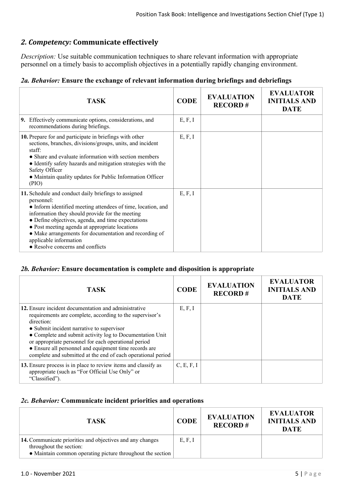# *2. Competency:* **Communicate effectively**

*Description:* Use suitable communication techniques to share relevant information with appropriate personnel on a timely basis to accomplish objectives in a potentially rapidly changing environment.

# *2a. Behavior:* **Ensure the exchange of relevant information during briefings and debriefings**

| <b>TASK</b>                                                                                                                                                                                                                                                                                                                                                                                                           | <b>CODE</b> | <b>EVALUATION</b><br><b>RECORD#</b> | <b>EVALUATOR</b><br><b>INITIALS AND</b><br><b>DATE</b> |
|-----------------------------------------------------------------------------------------------------------------------------------------------------------------------------------------------------------------------------------------------------------------------------------------------------------------------------------------------------------------------------------------------------------------------|-------------|-------------------------------------|--------------------------------------------------------|
| 9. Effectively communicate options, considerations, and<br>recommendations during briefings.                                                                                                                                                                                                                                                                                                                          | E, F, I     |                                     |                                                        |
| 10. Prepare for and participate in briefings with other<br>sections, branches, divisions/groups, units, and incident<br>staff:<br>• Share and evaluate information with section members<br>• Identify safety hazards and mitigation strategies with the<br>Safety Officer<br>• Maintain quality updates for Public Information Officer<br>(PIO)                                                                       | E, F, I     |                                     |                                                        |
| 11. Schedule and conduct daily briefings to assigned<br>personnel:<br>• Inform identified meeting attendees of time, location, and<br>information they should provide for the meeting<br>• Define objectives, agenda, and time expectations<br>• Post meeting agenda at appropriate locations<br>• Make arrangements for documentation and recording of<br>applicable information<br>• Resolve concerns and conflicts | E, F, I     |                                     |                                                        |

# *2b. Behavior:* **Ensure documentation is complete and disposition is appropriate**

| <b>TASK</b>                                                                                                                                                                                                                                                                                                                                                                                                              | <b>CODE</b> | <b>EVALUATION</b><br><b>RECORD#</b> | <b>EVALUATOR</b><br><b>INITIALS AND</b><br><b>DATE</b> |
|--------------------------------------------------------------------------------------------------------------------------------------------------------------------------------------------------------------------------------------------------------------------------------------------------------------------------------------------------------------------------------------------------------------------------|-------------|-------------------------------------|--------------------------------------------------------|
| 12. Ensure incident documentation and administrative<br>requirements are complete, according to the supervisor's<br>direction:<br>• Submit incident narrative to supervisor<br>• Complete and submit activity log to Documentation Unit<br>or appropriate personnel for each operational period<br>• Ensure all personnel and equipment time records are<br>complete and submitted at the end of each operational period | E, F, I     |                                     |                                                        |
| 13. Ensure process is in place to review items and classify as<br>appropriate (such as "For Official Use Only" or<br>"Classified").                                                                                                                                                                                                                                                                                      | C, E, F, I  |                                     |                                                        |

# *2c. Behavior:* **Communicate incident priorities and operations**

| <b>TASK</b>                                                                                                                                        | <b>CODE</b> | <b>EVALUATION</b><br><b>RECORD#</b> | <b>EVALUATOR</b><br><b>INITIALS AND</b><br><b>DATE</b> |
|----------------------------------------------------------------------------------------------------------------------------------------------------|-------------|-------------------------------------|--------------------------------------------------------|
| 14. Communicate priorities and objectives and any changes<br>throughout the section:<br>• Maintain common operating picture throughout the section | E, F, I     |                                     |                                                        |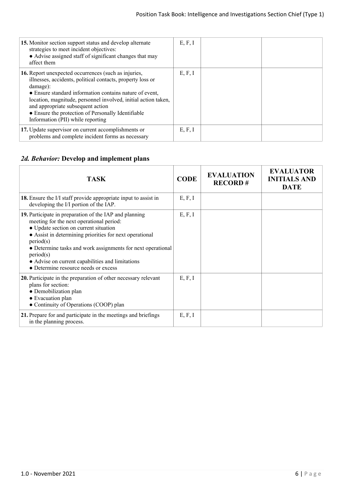| 15. Monitor section support status and develop alternate<br>strategies to meet incident objectives:<br>• Advise assigned staff of significant changes that may<br>affect them                                                                                                                                                                                                               | E, F, I |  |
|---------------------------------------------------------------------------------------------------------------------------------------------------------------------------------------------------------------------------------------------------------------------------------------------------------------------------------------------------------------------------------------------|---------|--|
| 16. Report unexpected occurrences (such as injuries,<br>illnesses, accidents, political contacts, property loss or<br>damage):<br>• Ensure standard information contains nature of event,<br>location, magnitude, personnel involved, initial action taken,<br>and appropriate subsequent action<br>• Ensure the protection of Personally Identifiable<br>Information (PII) while reporting | E, F, I |  |
| 17. Update supervisor on current accomplishments or<br>problems and complete incident forms as necessary                                                                                                                                                                                                                                                                                    | E, F, I |  |

# *2d. Behavior:* **Develop and implement plans**

| <b>TASK</b>                                                                                                                                                                                                                                                                                                                                                                                 | <b>CODE</b> | <b>EVALUATION</b><br><b>RECORD#</b> | <b>EVALUATOR</b><br><b>INITIALS AND</b><br><b>DATE</b> |
|---------------------------------------------------------------------------------------------------------------------------------------------------------------------------------------------------------------------------------------------------------------------------------------------------------------------------------------------------------------------------------------------|-------------|-------------------------------------|--------------------------------------------------------|
| <b>18.</b> Ensure the I/I staff provide appropriate input to assist in<br>developing the I/I portion of the IAP.                                                                                                                                                                                                                                                                            | E, F, I     |                                     |                                                        |
| 19. Participate in preparation of the IAP and planning<br>meeting for the next operational period:<br>• Update section on current situation<br>• Assist in determining priorities for next operational<br>period(s)<br>• Determine tasks and work assignments for next operational<br>period(s)<br>• Advise on current capabilities and limitations<br>• Determine resource needs or excess | E, F, I     |                                     |                                                        |
| 20. Participate in the preparation of other necessary relevant<br>plans for section:<br>• Demobilization plan<br>• Evacuation plan<br>• Continuity of Operations (COOP) plan                                                                                                                                                                                                                | E, F, I     |                                     |                                                        |
| 21. Prepare for and participate in the meetings and briefings<br>in the planning process.                                                                                                                                                                                                                                                                                                   | E, F, I     |                                     |                                                        |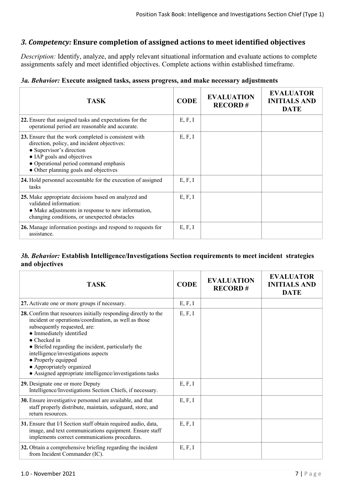# *3. Competency:* **Ensure completion of assigned actions to meet identified objectives**

*Description:* Identify, analyze, and apply relevant situational information and evaluate actions to complete assignments safely and meet identified objectives. Complete actions within established timeframe.

#### *3a. Behavior:* **Execute assigned tasks, assess progress, and make necessary adjustments**

| <b>TASK</b>                                                                                                                                                                                                                                      | <b>CODE</b> | <b>EVALUATION</b><br><b>RECORD#</b> | <b>EVALUATOR</b><br><b>INITIALS AND</b><br><b>DATE</b> |
|--------------------------------------------------------------------------------------------------------------------------------------------------------------------------------------------------------------------------------------------------|-------------|-------------------------------------|--------------------------------------------------------|
| 22. Ensure that assigned tasks and expectations for the<br>operational period are reasonable and accurate.                                                                                                                                       | E, F, I     |                                     |                                                        |
| 23. Ensure that the work completed is consistent with<br>direction, policy, and incident objectives:<br>• Supervisor's direction<br>• IAP goals and objectives<br>• Operational period command emphasis<br>• Other planning goals and objectives | E, F, I     |                                     |                                                        |
| 24. Hold personnel accountable for the execution of assigned<br>tasks                                                                                                                                                                            | E, F, I     |                                     |                                                        |
| 25. Make appropriate decisions based on analyzed and<br>validated information:<br>• Make adjustments in response to new information,<br>changing conditions, or unexpected obstacles                                                             | E, F, I     |                                     |                                                        |
| 26. Manage information postings and respond to requests for<br>assistance.                                                                                                                                                                       | E, F, I     |                                     |                                                        |

# *3b. Behavior:* **Establish Intelligence/Investigations Section requirements to meet incident strategies and objectives**

| <b>TASK</b>                                                                                                                                                                                                                                                                                                                                                                                                       | <b>CODE</b> | <b>EVALUATION</b><br><b>RECORD#</b> | <b>EVALUATOR</b><br><b>INITIALS AND</b><br><b>DATE</b> |
|-------------------------------------------------------------------------------------------------------------------------------------------------------------------------------------------------------------------------------------------------------------------------------------------------------------------------------------------------------------------------------------------------------------------|-------------|-------------------------------------|--------------------------------------------------------|
| 27. Activate one or more groups if necessary.                                                                                                                                                                                                                                                                                                                                                                     | E, F, I     |                                     |                                                        |
| 28. Confirm that resources initially responding directly to the<br>incident or operations/coordination, as well as those<br>subsequently requested, are:<br>• Immediately identified<br>• Checked in<br>• Briefed regarding the incident, particularly the<br>intelligence/investigations aspects<br>• Properly equipped<br>• Appropriately organized<br>• Assigned appropriate intelligence/investigations tasks | E, F, I     |                                     |                                                        |
| 29. Designate one or more Deputy<br>Intelligence/Investigations Section Chiefs, if necessary.                                                                                                                                                                                                                                                                                                                     | E, F, I     |                                     |                                                        |
| 30. Ensure investigative personnel are available, and that<br>staff properly distribute, maintain, safeguard, store, and<br>return resources.                                                                                                                                                                                                                                                                     | E, F, I     |                                     |                                                        |
| 31. Ensure that I/I Section staff obtain required audio, data,<br>image, and text communications equipment. Ensure staff<br>implements correct communications procedures.                                                                                                                                                                                                                                         | E, F, I     |                                     |                                                        |
| 32. Obtain a comprehensive briefing regarding the incident<br>from Incident Commander (IC).                                                                                                                                                                                                                                                                                                                       | E, F, I     |                                     |                                                        |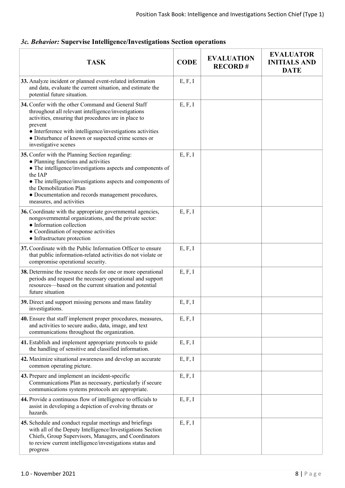| <b>TASK</b>                                                                                                                                                                                                                                                                                                                                  | <b>CODE</b> | <b>EVALUATION</b><br><b>RECORD#</b> | <b>EVALUATOR</b><br><b>INITIALS AND</b><br><b>DATE</b> |
|----------------------------------------------------------------------------------------------------------------------------------------------------------------------------------------------------------------------------------------------------------------------------------------------------------------------------------------------|-------------|-------------------------------------|--------------------------------------------------------|
| 33. Analyze incident or planned event-related information<br>and data, evaluate the current situation, and estimate the<br>potential future situation.                                                                                                                                                                                       | E, F, I     |                                     |                                                        |
| 34. Confer with the other Command and General Staff<br>throughout all relevant intelligence/investigations<br>activities, ensuring that procedures are in place to<br>prevent<br>• Interference with intelligence/investigations activities<br>• Disturbance of known or suspected crime scenes or<br>investigative scenes                   | E, F, I     |                                     |                                                        |
| 35. Confer with the Planning Section regarding:<br>• Planning functions and activities<br>• The intelligence/investigations aspects and components of<br>the IAP<br>• The intelligence/investigations aspects and components of<br>the Demobilization Plan<br>• Documentation and records management procedures,<br>measures, and activities | E, F, I     |                                     |                                                        |
| 36. Coordinate with the appropriate governmental agencies,<br>nongovernmental organizations, and the private sector:<br>• Information collection<br>• Coordination of response activities<br>• Infrastructure protection                                                                                                                     | E, F, I     |                                     |                                                        |
| 37. Coordinate with the Public Information Officer to ensure<br>that public information-related activities do not violate or<br>compromise operational security.                                                                                                                                                                             | E, F, I     |                                     |                                                        |
| 38. Determine the resource needs for one or more operational<br>periods and request the necessary operational and support<br>resources—based on the current situation and potential<br>future situation                                                                                                                                      | E, F, I     |                                     |                                                        |
| 39. Direct and support missing persons and mass fatality<br>investigations.                                                                                                                                                                                                                                                                  | E, F, I     |                                     |                                                        |
| 40. Ensure that staff implement proper procedures, measures,<br>and activities to secure audio, data, image, and text<br>communications throughout the organization.                                                                                                                                                                         | E, F, I     |                                     |                                                        |
| 41. Establish and implement appropriate protocols to guide<br>the handling of sensitive and classified information.                                                                                                                                                                                                                          | E, F, I     |                                     |                                                        |
| 42. Maximize situational awareness and develop an accurate<br>common operating picture.                                                                                                                                                                                                                                                      | E, F, I     |                                     |                                                        |
| 43. Prepare and implement an incident-specific<br>Communications Plan as necessary, particularly if secure<br>communications systems protocols are appropriate.                                                                                                                                                                              | E, F, I     |                                     |                                                        |
| 44. Provide a continuous flow of intelligence to officials to<br>assist in developing a depiction of evolving threats or<br>hazards.                                                                                                                                                                                                         | E, F, I     |                                     |                                                        |
| 45. Schedule and conduct regular meetings and briefings<br>with all of the Deputy Intelligence/Investigations Section<br>Chiefs, Group Supervisors, Managers, and Coordinators<br>to review current intelligence/investigations status and<br>progress                                                                                       | E, F, I     |                                     |                                                        |

# *3c. Behavior:* **Supervise Intelligence/Investigations Section operations**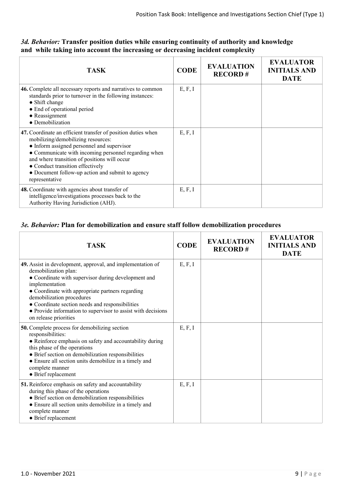# *3d. Behavior:* **Transfer position duties while ensuring continuity of authority and knowledge and while taking into account the increasing or decreasing incident complexity**

| <b>TASK</b>                                                                                                                                                                                                                                                                                                                                                        | <b>CODE</b> | <b>EVALUATION</b><br><b>RECORD#</b> | <b>EVALUATOR</b><br><b>INITIALS AND</b><br><b>DATE</b> |
|--------------------------------------------------------------------------------------------------------------------------------------------------------------------------------------------------------------------------------------------------------------------------------------------------------------------------------------------------------------------|-------------|-------------------------------------|--------------------------------------------------------|
| 46. Complete all necessary reports and narratives to common<br>standards prior to turnover in the following instances:<br>• Shift change<br>• End of operational period<br>$\bullet$ Reassignment<br>• Demobilization                                                                                                                                              | E, F, I     |                                     |                                                        |
| 47. Coordinate an efficient transfer of position duties when<br>mobilizing/demobilizing resources:<br>• Inform assigned personnel and supervisor<br>• Communicate with incoming personnel regarding when<br>and where transition of positions will occur<br>• Conduct transition effectively<br>• Document follow-up action and submit to agency<br>representative | E, F, I     |                                     |                                                        |
| 48. Coordinate with agencies about transfer of<br>intelligence/investigations processes back to the<br>Authority Having Jurisdiction (AHJ).                                                                                                                                                                                                                        | E, F, I     |                                     |                                                        |

# *3e. Behavior:* **Plan for demobilization and ensure staff follow demobilization procedures**

| <b>TASK</b>                                                                                                                                                                                                                                                                                                                                                                              | <b>CODE</b> | <b>EVALUATION</b><br><b>RECORD#</b> | <b>EVALUATOR</b><br><b>INITIALS AND</b><br><b>DATE</b> |
|------------------------------------------------------------------------------------------------------------------------------------------------------------------------------------------------------------------------------------------------------------------------------------------------------------------------------------------------------------------------------------------|-------------|-------------------------------------|--------------------------------------------------------|
| 49. Assist in development, approval, and implementation of<br>demobilization plan:<br>• Coordinate with supervisor during development and<br>implementation<br>• Coordinate with appropriate partners regarding<br>demobilization procedures<br>• Coordinate section needs and responsibilities<br>• Provide information to supervisor to assist with decisions<br>on release priorities | E, F, I     |                                     |                                                        |
| <b>50.</b> Complete process for demobilizing section<br>responsibilities:<br>• Reinforce emphasis on safety and accountability during<br>this phase of the operations<br>• Brief section on demobilization responsibilities<br>• Ensure all section units demobilize in a timely and<br>complete manner<br>• Brief replacement                                                           | E, F, I     |                                     |                                                        |
| 51. Reinforce emphasis on safety and accountability<br>during this phase of the operations<br>· Brief section on demobilization responsibilities<br>• Ensure all section units demobilize in a timely and<br>complete manner<br>• Brief replacement                                                                                                                                      | E, F, I     |                                     |                                                        |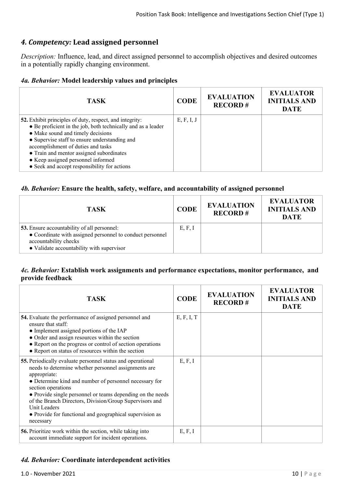# *4. Competency:* **Lead assigned personnel**

*Description:* Influence, lead, and direct assigned personnel to accomplish objectives and desired outcomes in a potentially rapidly changing environment.

#### *4a. Behavior:* **Model leadership values and principles**

| TASK                                                                                                                                                                                                                                                                                                                                                                                         | <b>CODE</b> | <b>EVALUATION</b><br><b>RECORD#</b> | <b>EVALUATOR</b><br><b>INITIALS AND</b><br><b>DATE</b> |
|----------------------------------------------------------------------------------------------------------------------------------------------------------------------------------------------------------------------------------------------------------------------------------------------------------------------------------------------------------------------------------------------|-------------|-------------------------------------|--------------------------------------------------------|
| <b>52.</b> Exhibit principles of duty, respect, and integrity:<br>• Be proficient in the job, both technically and as a leader<br>• Make sound and timely decisions<br>• Supervise staff to ensure understanding and<br>accomplishment of duties and tasks<br>• Train and mentor assigned subordinates<br>• Keep assigned personnel informed<br>• Seek and accept responsibility for actions | E, F, I, J  |                                     |                                                        |

#### *4b. Behavior:* **Ensure the health, safety, welfare, and accountability of assigned personnel**

| <b>TASK</b>                                                                                                                                                                           | <b>CODE</b> | <b>EVALUATION</b><br><b>RECORD#</b> | <b>EVALUATOR</b><br><b>INITIALS AND</b><br><b>DATE</b> |
|---------------------------------------------------------------------------------------------------------------------------------------------------------------------------------------|-------------|-------------------------------------|--------------------------------------------------------|
| <b>53.</b> Ensure accountability of all personnel:<br>• Coordinate with assigned personnel to conduct personnel<br>accountability checks<br>• Validate accountability with supervisor | E, F, I     |                                     |                                                        |

# *4c. Behavior:* **Establish work assignments and performance expectations, monitor performance, and provide feedback**

| <b>TASK</b>                                                                                                                                                                                                                                                                                                                                                                                                                          | <b>CODE</b> | <b>EVALUATION</b><br><b>RECORD#</b> | <b>EVALUATOR</b><br><b>INITIALS AND</b><br><b>DATE</b> |
|--------------------------------------------------------------------------------------------------------------------------------------------------------------------------------------------------------------------------------------------------------------------------------------------------------------------------------------------------------------------------------------------------------------------------------------|-------------|-------------------------------------|--------------------------------------------------------|
| 54. Evaluate the performance of assigned personnel and<br>ensure that staff:<br>• Implement assigned portions of the IAP<br>• Order and assign resources within the section<br>• Report on the progress or control of section operations<br>• Report on status of resources within the section                                                                                                                                       | E, F, I, T  |                                     |                                                        |
| 55. Periodically evaluate personnel status and operational<br>needs to determine whether personnel assignments are<br>appropriate:<br>• Determine kind and number of personnel necessary for<br>section operations<br>• Provide single personnel or teams depending on the needs<br>of the Branch Directors, Division/Group Supervisors and<br>Unit Leaders<br>• Provide for functional and geographical supervision as<br>necessary | E, F, I     |                                     |                                                        |
| <b>56.</b> Prioritize work within the section, while taking into<br>account immediate support for incident operations.                                                                                                                                                                                                                                                                                                               | E, F, I     |                                     |                                                        |

# *4d. Behavior:* **Coordinate interdependent activities**